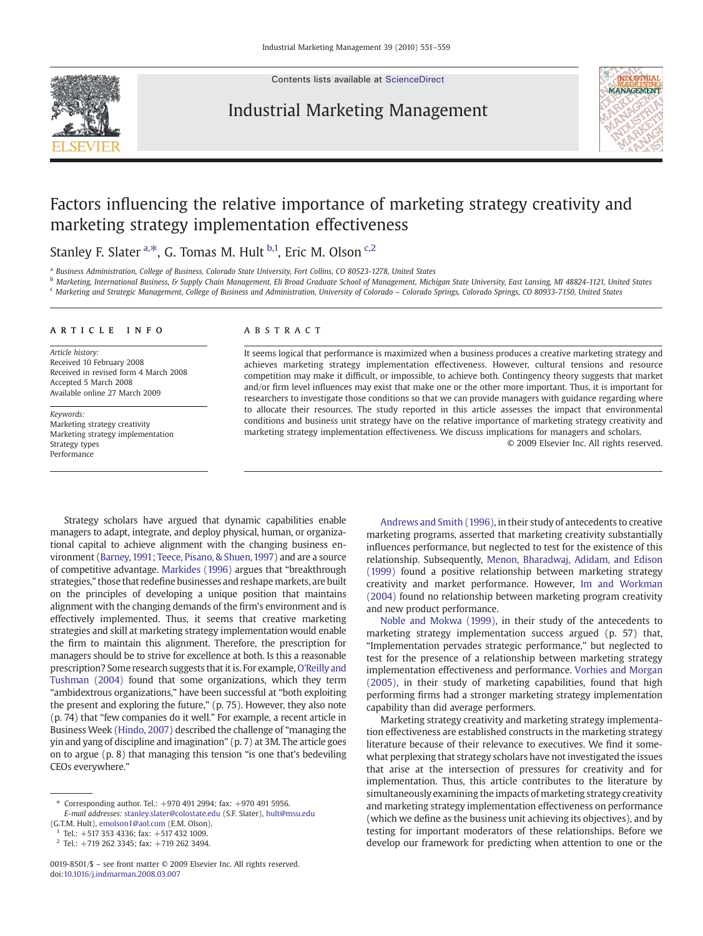Contents lists available at [ScienceDirect](http://www.sciencedirect.com/science/journal/00198501)

## Industrial Marketing Management



# Factors influencing the relative importance of marketing strategy creativity and marketing strategy implementation effectiveness

Stanley F. Slater <sup>a,\*</sup>, G. Tomas M. Hult <sup>b,1</sup>, Eric M. Olson <sup>c,2</sup>

<sup>a</sup> Business Administration, College of Business, Colorado State University, Fort Collins, CO 80523-1278, United States

<sup>b</sup> Marketing, International Business, & Supply Chain Management, Eli Broad Graduate School of Management, Michigan State University, East Lansing, MI 48824-1121, United States <sup>c</sup> Marketing and Strategic Management, College of Business and Administration, University of Colorado – Colorado Springs, Colorado Springs, CO 80933-7150, United States

#### article info abstract

Article history: Received 10 February 2008 Received in revised form 4 March 2008 Accepted 5 March 2008 Available online 27 March 2009

Keywords: Marketing strategy creativity Marketing strategy implementation Strategy types Performance

It seems logical that performance is maximized when a business produces a creative marketing strategy and achieves marketing strategy implementation effectiveness. However, cultural tensions and resource competition may make it difficult, or impossible, to achieve both. Contingency theory suggests that market and/or firm level influences may exist that make one or the other more important. Thus, it is important for researchers to investigate those conditions so that we can provide managers with guidance regarding where to allocate their resources. The study reported in this article assesses the impact that environmental conditions and business unit strategy have on the relative importance of marketing strategy creativity and marketing strategy implementation effectiveness. We discuss implications for managers and scholars.

© 2009 Elsevier Inc. All rights reserved.

Strategy scholars have argued that dynamic capabilities enable managers to adapt, integrate, and deploy physical, human, or organizational capital to achieve alignment with the changing business environment [\(Barney, 1991; Teece, Pisano, & Shuen, 1997](#page--1-0)) and are a source of competitive advantage. [Markides \(1996\)](#page--1-0) argues that "breakthrough strategies," those that redefine businesses and reshape markets, are built on the principles of developing a unique position that maintains alignment with the changing demands of the firm's environment and is effectively implemented. Thus, it seems that creative marketing strategies and skill at marketing strategy implementation would enable the firm to maintain this alignment. Therefore, the prescription for managers should be to strive for excellence at both. Is this a reasonable prescription? Some research suggests that it is. For example, [O'Reilly and](#page--1-0) [Tushman \(2004\)](#page--1-0) found that some organizations, which they term "ambidextrous organizations," have been successful at "both exploiting the present and exploring the future," (p. 75). However, they also note (p. 74) that "few companies do it well." For example, a recent article in Business Week [\(Hindo, 2007](#page--1-0)) described the challenge of "managing the yin and yang of discipline and imagination" (p. 7) at 3M. The article goes on to argue (p. 8) that managing this tension "is one that's bedeviling CEOs everywhere."

⁎ Corresponding author. Tel.: +970 491 2994; fax: +970 491 5956. E-mail addresses: [stanley.slater@colostate.edu](mailto:stanley.slater@colostate.edu) (S.F. Slater), [hult@msu.edu](mailto:hult@msu.edu)

(G.T.M. Hult), [emolson1@aol.com](mailto:emolson1@aol.com) (E.M. Olson).

<sup>1</sup> Tel.: +517 353 4336; fax: +517 432 1009.

 $2$  Tel.: +719 262 3345; fax: +719 262 3494.

[Andrews and Smith \(1996\),](#page--1-0) in their study of antecedents to creative marketing programs, asserted that marketing creativity substantially influences performance, but neglected to test for the existence of this relationship. Subsequently, [Menon, Bharadwaj, Adidam, and Edison](#page--1-0) [\(1999\)](#page--1-0) found a positive relationship between marketing strategy creativity and market performance. However, [Im and Workman](#page--1-0) [\(2004\)](#page--1-0) found no relationship between marketing program creativity and new product performance.

[Noble and Mokwa \(1999\),](#page--1-0) in their study of the antecedents to marketing strategy implementation success argued (p. 57) that, "Implementation pervades strategic performance," but neglected to test for the presence of a relationship between marketing strategy implementation effectiveness and performance. [Vorhies and Morgan](#page--1-0) [\(2005\)](#page--1-0), in their study of marketing capabilities, found that high performing firms had a stronger marketing strategy implementation capability than did average performers.

Marketing strategy creativity and marketing strategy implementation effectiveness are established constructs in the marketing strategy literature because of their relevance to executives. We find it somewhat perplexing that strategy scholars have not investigated the issues that arise at the intersection of pressures for creativity and for implementation. Thus, this article contributes to the literature by simultaneously examining the impacts of marketing strategy creativity and marketing strategy implementation effectiveness on performance (which we define as the business unit achieving its objectives), and by testing for important moderators of these relationships. Before we develop our framework for predicting when attention to one or the

<sup>0019-8501/\$</sup> – see front matter © 2009 Elsevier Inc. All rights reserved. doi:[10.1016/j.indmarman.2008.03.007](http://dx.doi.org/10.1016/j.indmarman.2008.03.007)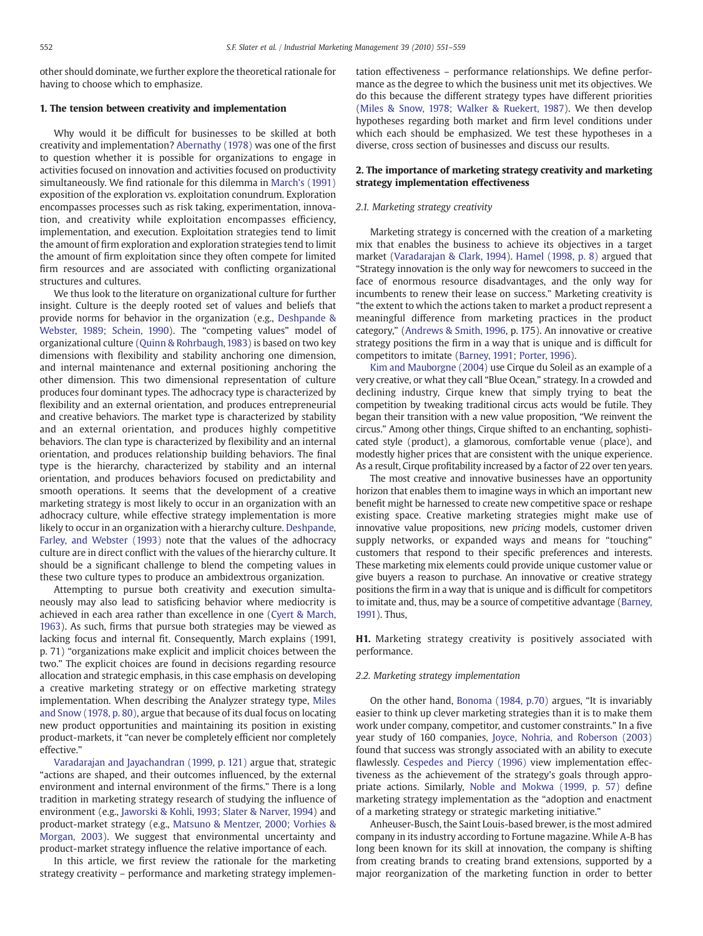other should dominate, we further explore the theoretical rationale for having to choose which to emphasize.

#### 1. The tension between creativity and implementation

Why would it be difficult for businesses to be skilled at both creativity and implementation? [Abernathy \(1978\)](#page--1-0) was one of the first to question whether it is possible for organizations to engage in activities focused on innovation and activities focused on productivity simultaneously. We find rationale for this dilemma in [March's \(1991\)](#page--1-0) exposition of the exploration vs. exploitation conundrum. Exploration encompasses processes such as risk taking, experimentation, innovation, and creativity while exploitation encompasses efficiency, implementation, and execution. Exploitation strategies tend to limit the amount of firm exploration and exploration strategies tend to limit the amount of firm exploitation since they often compete for limited firm resources and are associated with conflicting organizational structures and cultures.

We thus look to the literature on organizational culture for further insight. Culture is the deeply rooted set of values and beliefs that provide norms for behavior in the organization (e.g., [Deshpande &](#page--1-0) [Webster, 1989; Schein, 1990](#page--1-0)). The "competing values" model of organizational culture [\(Quinn & Rohrbaugh, 1983\)](#page--1-0) is based on two key dimensions with flexibility and stability anchoring one dimension, and internal maintenance and external positioning anchoring the other dimension. This two dimensional representation of culture produces four dominant types. The adhocracy type is characterized by flexibility and an external orientation, and produces entrepreneurial and creative behaviors. The market type is characterized by stability and an external orientation, and produces highly competitive behaviors. The clan type is characterized by flexibility and an internal orientation, and produces relationship building behaviors. The final type is the hierarchy, characterized by stability and an internal orientation, and produces behaviors focused on predictability and smooth operations. It seems that the development of a creative marketing strategy is most likely to occur in an organization with an adhocracy culture, while effective strategy implementation is more likely to occur in an organization with a hierarchy culture. [Deshpande,](#page--1-0) [Farley, and Webster \(1993\)](#page--1-0) note that the values of the adhocracy culture are in direct conflict with the values of the hierarchy culture. It should be a significant challenge to blend the competing values in these two culture types to produce an ambidextrous organization.

Attempting to pursue both creativity and execution simultaneously may also lead to satisficing behavior where mediocrity is achieved in each area rather than excellence in one ([Cyert & March,](#page--1-0) [1963](#page--1-0)). As such, firms that pursue both strategies may be viewed as lacking focus and internal fit. Consequently, March explains (1991, p. 71) "organizations make explicit and implicit choices between the two." The explicit choices are found in decisions regarding resource allocation and strategic emphasis, in this case emphasis on developing a creative marketing strategy or on effective marketing strategy implementation. When describing the Analyzer strategy type, [Miles](#page--1-0) [and Snow \(1978, p. 80\),](#page--1-0) argue that because of its dual focus on locating new product opportunities and maintaining its position in existing product-markets, it "can never be completely efficient nor completely effective."

[Varadarajan and Jayachandran \(1999, p. 121\)](#page--1-0) argue that, strategic "actions are shaped, and their outcomes influenced, by the external environment and internal environment of the firms." There is a long tradition in marketing strategy research of studying the influence of environment (e.g., [Jaworski & Kohli, 1993; Slater & Narver, 1994](#page--1-0)) and product-market strategy (e.g., [Matsuno & Mentzer, 2000; Vorhies &](#page--1-0) [Morgan, 2003](#page--1-0)). We suggest that environmental uncertainty and product-market strategy influence the relative importance of each.

In this article, we first review the rationale for the marketing strategy creativity – performance and marketing strategy implementation effectiveness – performance relationships. We define performance as the degree to which the business unit met its objectives. We do this because the different strategy types have different priorities [\(Miles & Snow, 1978; Walker & Ruekert, 1987](#page--1-0)). We then develop hypotheses regarding both market and firm level conditions under which each should be emphasized. We test these hypotheses in a diverse, cross section of businesses and discuss our results.

### 2. The importance of marketing strategy creativity and marketing strategy implementation effectiveness

#### 2.1. Marketing strategy creativity

Marketing strategy is concerned with the creation of a marketing mix that enables the business to achieve its objectives in a target market [\(Varadarajan & Clark, 1994](#page--1-0)). [Hamel \(1998, p. 8\)](#page--1-0) argued that "Strategy innovation is the only way for newcomers to succeed in the face of enormous resource disadvantages, and the only way for incumbents to renew their lease on success." Marketing creativity is "the extent to which the actions taken to market a product represent a meaningful difference from marketing practices in the product category," [\(Andrews & Smith, 1996](#page--1-0), p. 175). An innovative or creative strategy positions the firm in a way that is unique and is difficult for competitors to imitate [\(Barney, 1991; Porter, 1996](#page--1-0)).

[Kim and Mauborgne \(2004\)](#page--1-0) use Cirque du Soleil as an example of a very creative, or what they call "Blue Ocean," strategy. In a crowded and declining industry, Cirque knew that simply trying to beat the competition by tweaking traditional circus acts would be futile. They began their transition with a new value proposition, "We reinvent the circus." Among other things, Cirque shifted to an enchanting, sophisticated style (product), a glamorous, comfortable venue (place), and modestly higher prices that are consistent with the unique experience. As a result, Cirque profitability increased by a factor of 22 over ten years.

The most creative and innovative businesses have an opportunity horizon that enables them to imagine ways in which an important new benefit might be harnessed to create new competitive space or reshape existing space. Creative marketing strategies might make use of innovative value propositions, new pricing models, customer driven supply networks, or expanded ways and means for "touching" customers that respond to their specific preferences and interests. These marketing mix elements could provide unique customer value or give buyers a reason to purchase. An innovative or creative strategy positions the firm in a way that is unique and is difficult for competitors to imitate and, thus, may be a source of competitive advantage ([Barney,](#page--1-0) [1991\)](#page--1-0). Thus,

H1. Marketing strategy creativity is positively associated with performance.

#### 2.2. Marketing strategy implementation

On the other hand, [Bonoma \(1984, p.70\)](#page--1-0) argues, "It is invariably easier to think up clever marketing strategies than it is to make them work under company, competitor, and customer constraints." In a five year study of 160 companies, [Joyce, Nohria, and Roberson \(2003\)](#page--1-0) found that success was strongly associated with an ability to execute flawlessly. [Cespedes and Piercy \(1996\)](#page--1-0) view implementation effectiveness as the achievement of the strategy's goals through appropriate actions. Similarly, [Noble and Mokwa \(1999, p. 57\)](#page--1-0) define marketing strategy implementation as the "adoption and enactment of a marketing strategy or strategic marketing initiative."

Anheuser-Busch, the Saint Louis-based brewer, is the most admired company in its industry according to Fortune magazine. While A-B has long been known for its skill at innovation, the company is shifting from creating brands to creating brand extensions, supported by a major reorganization of the marketing function in order to better